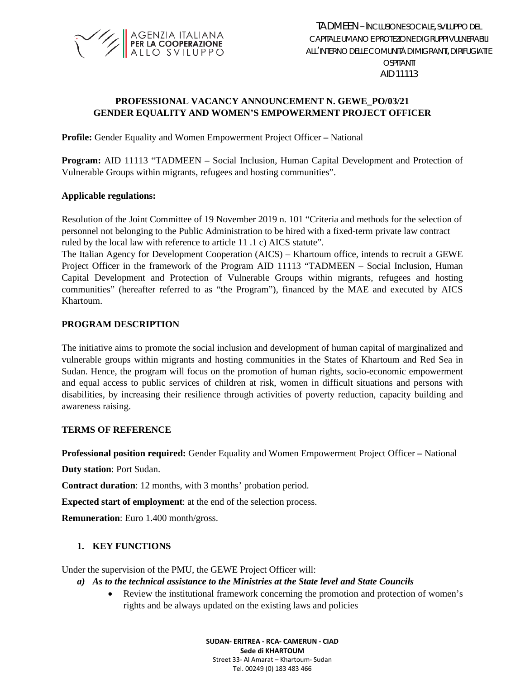

# **PROFESSIONAL VACANCY ANNOUNCEMENT N. GEWE\_PO/03/21 GENDER EQUALITY AND WOMEN'S EMPOWERMENT PROJECT OFFICER**

**Profile:** Gender Equality and Women Empowerment Project Officer **–** National

**Program:** AID 11113 "TADMEEN – Social Inclusion, Human Capital Development and Protection of Vulnerable Groups within migrants, refugees and hosting communities".

### **Applicable regulations:**

Resolution of the Joint Committee of 19 November 2019 n. 101 "Criteria and methods for the selection of personnel not belonging to the Public Administration to be hired with a fixed-term private law contract ruled by the local law with reference to article 11 .1 c) AICS statute".

The Italian Agency for Development Cooperation (AICS) – Khartoum office, intends to recruit a GEWE Project Officer in the framework of the Program AID 11113 "TADMEEN – Social Inclusion, Human Capital Development and Protection of Vulnerable Groups within migrants, refugees and hosting communities" (hereafter referred to as "the Program"), financed by the MAE and executed by AICS Khartoum.

### **PROGRAM DESCRIPTION**

The initiative aims to promote the social inclusion and development of human capital of marginalized and vulnerable groups within migrants and hosting communities in the States of Khartoum and Red Sea in Sudan. Hence, the program will focus on the promotion of human rights, socio-economic empowerment and equal access to public services of children at risk, women in difficult situations and persons with disabilities, by increasing their resilience through activities of poverty reduction, capacity building and awareness raising.

### **TERMS OF REFERENCE**

**Professional position required:** Gender Equality and Women Empowerment Project Officer **–** National

**Duty station**: Port Sudan.

**Contract duration**: 12 months, with 3 months' probation period.

**Expected start of employment**: at the end of the selection process.

**Remuneration**: Euro 1.400 month/gross.

### **1. KEY FUNCTIONS**

Under the supervision of the PMU, the GEWE Project Officer will:

### *a) As to the technical assistance to the Ministries at the State level and State Councils*

• Review the institutional framework concerning the promotion and protection of women's rights and be always updated on the existing laws and policies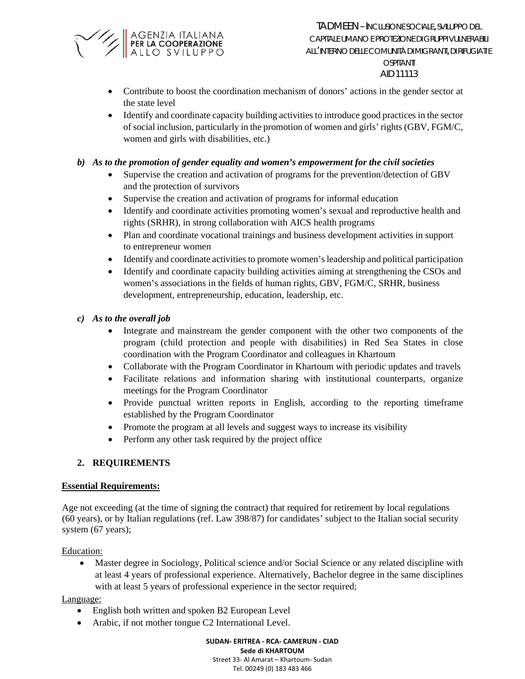

- AID11113
- Contribute to boost the coordination mechanism of donors' actions in the gender sector at the state level
- Identify and coordinate capacity building activities to introduce good practices in the sector of social inclusion, particularly in the promotion of women and girls' rights (GBV, FGM/C, women and girls with disabilities, etc.)

### *b) As to the promotion of gender equality and women's empowerment for the civil societies*

- Supervise the creation and activation of programs for the prevention/detection of GBV and the protection of survivors
- Supervise the creation and activation of programs for informal education
- Identify and coordinate activities promoting women's sexual and reproductive health and rights (SRHR), in strong collaboration with AICS health programs
- Plan and coordinate vocational trainings and business development activities in support to entrepreneur women
- Identify and coordinate activities to promote women's leadership and political participation
- Identify and coordinate capacity building activities aiming at strengthening the CSOs and women's associations in the fields of human rights, GBV, FGM/C, SRHR, business development, entrepreneurship, education, leadership, etc.

### *c) As to the overall job*

- Integrate and mainstream the gender component with the other two components of the program (child protection and people with disabilities) in Red Sea States in close coordination with the Program Coordinator and colleagues in Khartoum
- Collaborate with the Program Coordinator in Khartoum with periodic updates and travels
- Facilitate relations and information sharing with institutional counterparts, organize meetings for the Program Coordinator
- Provide punctual written reports in English, according to the reporting timeframe established by the Program Coordinator
- Promote the program at all levels and suggest ways to increase its visibility
- Perform any other task required by the project office

## **2. REQUIREMENTS**

### **Essential Requirements:**

Age not exceeding (at the time of signing the contract) that required for retirement by local regulations (60 years), or by Italian regulations (ref. Law 398/87) for candidates' subject to the Italian social security system (67 years);

Education:

• Master degree in Sociology, Political science and/or Social Science or any related discipline with at least 4 years of professional experience. Alternatively, Bachelor degree in the same disciplines with at least 5 years of professional experience in the sector required;

### Language:

- English both written and spoken B2 European Level
- Arabic, if not mother tongue C2 International Level.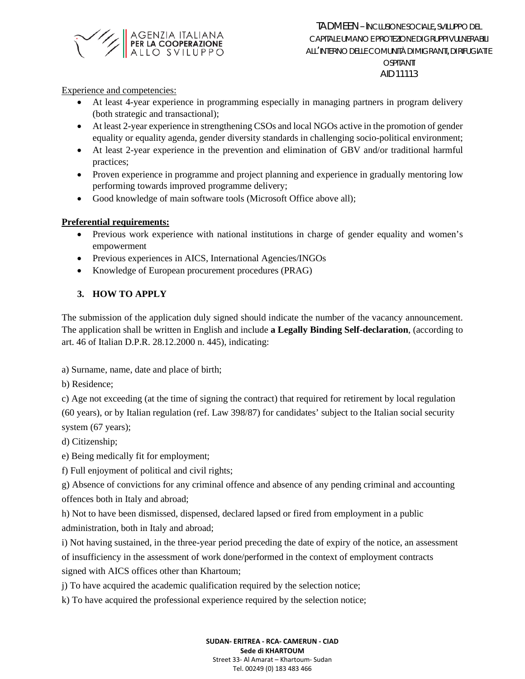

AID11113

Experience and competencies:

- At least 4-year experience in programming especially in managing partners in program delivery (both strategic and transactional);
- At least 2-year experience in strengthening CSOs and local NGOs active in the promotion of gender equality or equality agenda, gender diversity standards in challenging socio-political environment;
- At least 2-year experience in the prevention and elimination of GBV and/or traditional harmful practices;
- Proven experience in programme and project planning and experience in gradually mentoring low performing towards improved programme delivery;
- Good knowledge of main software tools (Microsoft Office above all);

## **Preferential requirements:**

- Previous work experience with national institutions in charge of gender equality and women's empowerment
- Previous experiences in AICS, International Agencies/INGOs
- Knowledge of European procurement procedures (PRAG)

# **3. HOW TO APPLY**

The submission of the application duly signed should indicate the number of the vacancy announcement. The application shall be written in English and include **a Legally Binding Self-declaration**, (according to art. 46 of Italian D.P.R. 28.12.2000 n. 445), indicating:

a) Surname, name, date and place of birth;

b) Residence;

c) Age not exceeding (at the time of signing the contract) that required for retirement by local regulation (60 years), or by Italian regulation (ref. Law 398/87) for candidates' subject to the Italian social security system (67 years);

d) Citizenship;

e) Being medically fit for employment;

f) Full enjoyment of political and civil rights;

g) Absence of convictions for any criminal offence and absence of any pending criminal and accounting offences both in Italy and abroad;

h) Not to have been dismissed, dispensed, declared lapsed or fired from employment in a public administration, both in Italy and abroad;

i) Not having sustained, in the three-year period preceding the date of expiry of the notice, an assessment of insufficiency in the assessment of work done/performed in the context of employment contracts signed with AICS offices other than Khartoum;

j) To have acquired the academic qualification required by the selection notice;

k) To have acquired the professional experience required by the selection notice;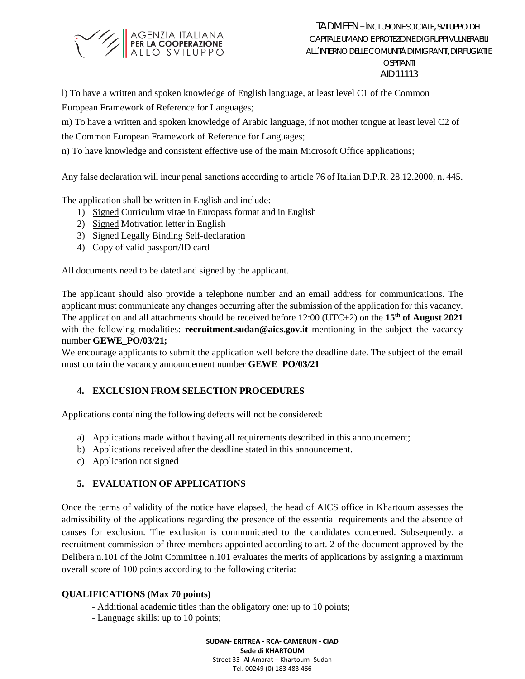

l) To have a written and spoken knowledge of English language, at least level C1 of the Common European Framework of Reference for Languages;

m) To have a written and spoken knowledge of Arabic language, if not mother tongue at least level C2 of

the Common European Framework of Reference for Languages;

n) To have knowledge and consistent effective use of the main Microsoft Office applications;

Any false declaration will incur penal sanctions according to article 76 of Italian D.P.R. 28.12.2000, n. 445.

The application shall be written in English and include:

- 1) Signed Curriculum vitae in Europass format and in English
- 2) Signed Motivation letter in English
- 3) Signed Legally Binding Self-declaration
- 4) Copy of valid passport/ID card

All documents need to be dated and signed by the applicant.

The applicant should also provide a telephone number and an email address for communications. The applicant must communicate any changes occurring after the submission of the application for this vacancy. The application and all attachments should be received before 12:00 (UTC+2) on the **15th of August 2021** with the following modalities: **recruitment.sudan@aics.gov.it** mentioning in the subject the vacancy number **GEWE\_PO/03/21;**

We encourage applicants to submit the application well before the deadline date. The subject of the email must contain the vacancy announcement number **GEWE\_PO/03/21**

# **4. EXCLUSION FROM SELECTION PROCEDURES**

Applications containing the following defects will not be considered:

- a) Applications made without having all requirements described in this announcement;
- b) Applications received after the deadline stated in this announcement.
- c) Application not signed

# **5. EVALUATION OF APPLICATIONS**

Once the terms of validity of the notice have elapsed, the head of AICS office in Khartoum assesses the admissibility of the applications regarding the presence of the essential requirements and the absence of causes for exclusion. The exclusion is communicated to the candidates concerned. Subsequently, a recruitment commission of three members appointed according to art. 2 of the document approved by the Delibera n.101 of the Joint Committee n.101 evaluates the merits of applications by assigning a maximum overall score of 100 points according to the following criteria:

## **QUALIFICATIONS (Max 70 points)**

- Additional academic titles than the obligatory one: up to 10 points;
- Language skills: up to 10 points;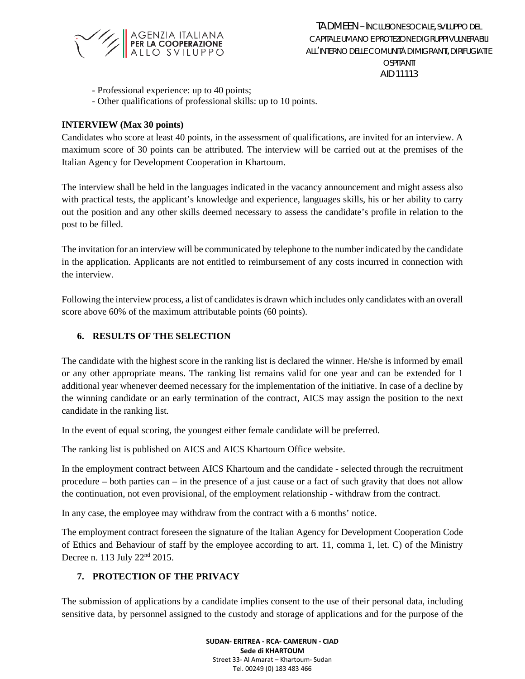

- Professional experience: up to 40 points;
- Other qualifications of professional skills: up to 10 points.

### **INTERVIEW (Max 30 points)**

Candidates who score at least 40 points, in the assessment of qualifications, are invited for an interview. A maximum score of 30 points can be attributed. The interview will be carried out at the premises of the Italian Agency for Development Cooperation in Khartoum.

The interview shall be held in the languages indicated in the vacancy announcement and might assess also with practical tests, the applicant's knowledge and experience, languages skills, his or her ability to carry out the position and any other skills deemed necessary to assess the candidate's profile in relation to the post to be filled.

The invitation for an interview will be communicated by telephone to the number indicated by the candidate in the application. Applicants are not entitled to reimbursement of any costs incurred in connection with the interview.

Following the interview process, a list of candidates is drawn which includes only candidates with an overall score above 60% of the maximum attributable points (60 points).

### **6. RESULTS OF THE SELECTION**

The candidate with the highest score in the ranking list is declared the winner. He/she is informed by email or any other appropriate means. The ranking list remains valid for one year and can be extended for 1 additional year whenever deemed necessary for the implementation of the initiative. In case of a decline by the winning candidate or an early termination of the contract, AICS may assign the position to the next candidate in the ranking list.

In the event of equal scoring, the youngest either female candidate will be preferred.

The ranking list is published on AICS and AICS Khartoum Office website.

In the employment contract between AICS Khartoum and the candidate - selected through the recruitment procedure – both parties can – in the presence of a just cause or a fact of such gravity that does not allow the continuation, not even provisional, of the employment relationship - withdraw from the contract.

In any case, the employee may withdraw from the contract with a 6 months' notice.

The employment contract foreseen the signature of the Italian Agency for Development Cooperation Code of Ethics and Behaviour of staff by the employee according to art. 11, comma 1, let. C) of the Ministry Decree n. 113 July 22nd 2015.

### **7. PROTECTION OF THE PRIVACY**

The submission of applications by a candidate implies consent to the use of their personal data, including sensitive data, by personnel assigned to the custody and storage of applications and for the purpose of the